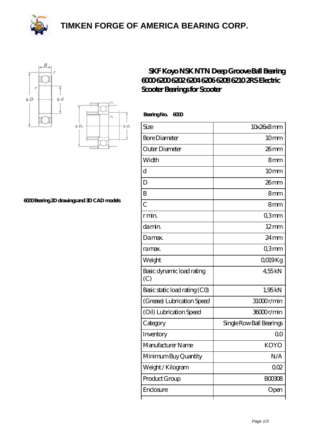**[TIMKEN FORGE OF AMERICA BEARING CORP.](https://black-forest-adventures.de)**







**[6000 Bearing 2D drawings and 3D CAD models](https://black-forest-adventures.de/pic-807328.html)**

| SKF Koyo NSK NTN Deep Groove Ball Bearing |
|-------------------------------------------|
| 60006200620262046206620862102RS Electric  |
| Scooter Bearings for Scooter              |

Bearing No. 6000

| Size                             | 10x26x8mm                |
|----------------------------------|--------------------------|
| <b>Bore Diameter</b>             | 10 <sub>mm</sub>         |
| Outer Diameter                   | $26$ mm                  |
| Width                            | 8mm                      |
| d                                | 10 <sub>mm</sub>         |
| D                                | $26$ mm                  |
| B                                | 8mm                      |
| $\overline{C}$                   | 8mm                      |
| r min.                           | Q3mm                     |
| da min.                          | $12 \text{mm}$           |
| Damax.                           | $24 \,\mathrm{mm}$       |
| ra max.                          | Q3mm                     |
| Weight                           | QO19Kg                   |
| Basic dynamic load rating<br>(C) | 455kN                    |
| Basic static load rating (CO)    | 1,95kN                   |
| (Grease) Lubrication Speed       | 31000r/min               |
| (Oil) Lubrication Speed          | 36000r/min               |
| Category                         | Single Row Ball Bearings |
| Inventory                        | 00                       |
| Manufacturer Name                | <b>KOYO</b>              |
| Minimum Buy Quantity             | N/A                      |
| Weight / Kilogram                | 002                      |
| Product Group                    | <b>BOO3O8</b>            |
| Enclosure                        | Open                     |
|                                  |                          |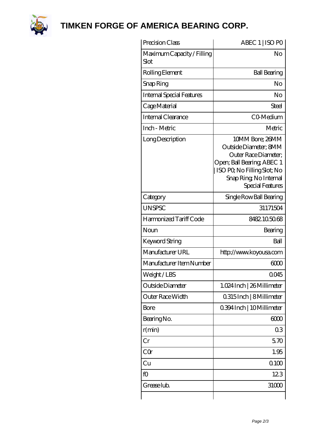

**[TIMKEN FORGE OF AMERICA BEARING CORP.](https://black-forest-adventures.de)**

| Precision Class                    | ABEC 1   ISO PO                                                                                                                                                             |
|------------------------------------|-----------------------------------------------------------------------------------------------------------------------------------------------------------------------------|
| Maximum Capacity / Filling<br>Slot | No                                                                                                                                                                          |
| Rolling Element                    | <b>Ball Bearing</b>                                                                                                                                                         |
| Snap Ring                          | N <sub>o</sub>                                                                                                                                                              |
| <b>Internal Special Features</b>   | No                                                                                                                                                                          |
| Cage Material                      | Steel                                                                                                                                                                       |
| Internal Clearance                 | CO-Medium                                                                                                                                                                   |
| Inch - Metric                      | Metric                                                                                                                                                                      |
| Long Description                   | 10MM Bore; 26MM<br>Outside Diameter: 8MM<br>Outer Race Diameter;<br>Open; Ball Bearing; ABEC 1<br>ISO PO, No Filling Slot; No<br>Snap Ring, No Internal<br>Special Features |
| Category                           | Single Row Ball Bearing                                                                                                                                                     |
| <b>UNSPSC</b>                      | 31171504                                                                                                                                                                    |
| Harmonized Tariff Code             | 8482105068                                                                                                                                                                  |
| Noun                               | Bearing                                                                                                                                                                     |
| Keyword String                     | Ball                                                                                                                                                                        |
| Manufacturer URL                   | http://www.koyousa.com                                                                                                                                                      |
| Manufacturer Item Number           | 600                                                                                                                                                                         |
| Weight/LBS                         | 0045                                                                                                                                                                        |
| Outside Diameter                   | 1.024 Inch   26 Millimeter                                                                                                                                                  |
| Outer Race Width                   | 0.315 Inch   8 Millimeter                                                                                                                                                   |
| <b>Bore</b>                        | 0.394 Inch   10 Millimeter                                                                                                                                                  |
| Bearing No.                        | 6000                                                                                                                                                                        |
| r(min)                             | 03                                                                                                                                                                          |
| Cr                                 | 570                                                                                                                                                                         |
| CQr                                | 1.95                                                                                                                                                                        |
| Cu                                 | 0100                                                                                                                                                                        |
| fO                                 | 123                                                                                                                                                                         |
| Grease lub.                        | 31000                                                                                                                                                                       |
|                                    |                                                                                                                                                                             |